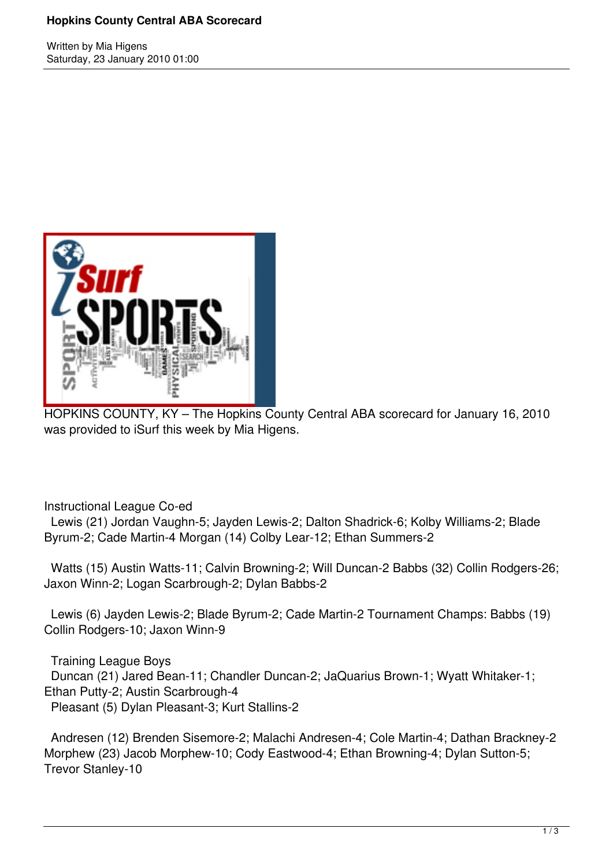### **Hopkins County Central ABA Scorecard**

Written by Mia Higens Saturday, 23 January 2010 01:00



HOPKINS COUNTY, KY – The Hopkins County Central ABA scorecard for January 16, 2010 was provided to iSurf this week by Mia Higens.

Instructional League Co-ed

 Lewis (21) Jordan Vaughn-5; Jayden Lewis-2; Dalton Shadrick-6; Kolby Williams-2; Blade Byrum-2; Cade Martin-4 Morgan (14) Colby Lear-12; Ethan Summers-2

 Watts (15) Austin Watts-11; Calvin Browning-2; Will Duncan-2 Babbs (32) Collin Rodgers-26; Jaxon Winn-2; Logan Scarbrough-2; Dylan Babbs-2

 Lewis (6) Jayden Lewis-2; Blade Byrum-2; Cade Martin-2 Tournament Champs: Babbs (19) Collin Rodgers-10; Jaxon Winn-9

 Training League Boys Duncan (21) Jared Bean-11; Chandler Duncan-2; JaQuarius Brown-1; Wyatt Whitaker-1; Ethan Putty-2; Austin Scarbrough-4 Pleasant (5) Dylan Pleasant-3; Kurt Stallins-2

 Andresen (12) Brenden Sisemore-2; Malachi Andresen-4; Cole Martin-4; Dathan Brackney-2 Morphew (23) Jacob Morphew-10; Cody Eastwood-4; Ethan Browning-4; Dylan Sutton-5; Trevor Stanley-10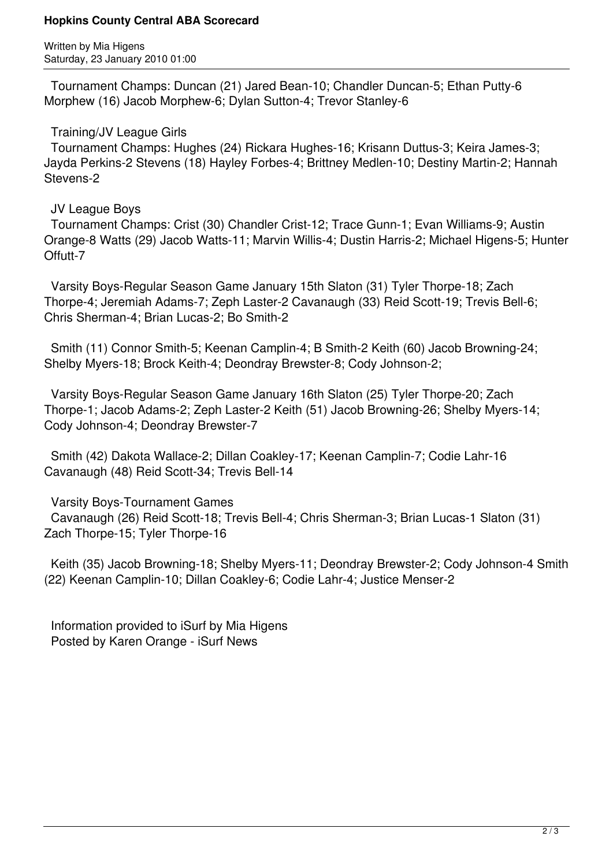#### **Hopkins County Central ABA Scorecard**

Written by Mia Higens Saturday, 23 January 2010 01:00

 Tournament Champs: Duncan (21) Jared Bean-10; Chandler Duncan-5; Ethan Putty-6 Morphew (16) Jacob Morphew-6; Dylan Sutton-4; Trevor Stanley-6

## Training/JV League Girls

 Tournament Champs: Hughes (24) Rickara Hughes-16; Krisann Duttus-3; Keira James-3; Jayda Perkins-2 Stevens (18) Hayley Forbes-4; Brittney Medlen-10; Destiny Martin-2; Hannah Stevens-2

## JV League Boys

 Tournament Champs: Crist (30) Chandler Crist-12; Trace Gunn-1; Evan Williams-9; Austin Orange-8 Watts (29) Jacob Watts-11; Marvin Willis-4; Dustin Harris-2; Michael Higens-5; Hunter Offutt-7

 Varsity Boys-Regular Season Game January 15th Slaton (31) Tyler Thorpe-18; Zach Thorpe-4; Jeremiah Adams-7; Zeph Laster-2 Cavanaugh (33) Reid Scott-19; Trevis Bell-6; Chris Sherman-4; Brian Lucas-2; Bo Smith-2

 Smith (11) Connor Smith-5; Keenan Camplin-4; B Smith-2 Keith (60) Jacob Browning-24; Shelby Myers-18; Brock Keith-4; Deondray Brewster-8; Cody Johnson-2;

 Varsity Boys-Regular Season Game January 16th Slaton (25) Tyler Thorpe-20; Zach Thorpe-1; Jacob Adams-2; Zeph Laster-2 Keith (51) Jacob Browning-26; Shelby Myers-14; Cody Johnson-4; Deondray Brewster-7

 Smith (42) Dakota Wallace-2; Dillan Coakley-17; Keenan Camplin-7; Codie Lahr-16 Cavanaugh (48) Reid Scott-34; Trevis Bell-14

Varsity Boys-Tournament Games

 Cavanaugh (26) Reid Scott-18; Trevis Bell-4; Chris Sherman-3; Brian Lucas-1 Slaton (31) Zach Thorpe-15; Tyler Thorpe-16

 Keith (35) Jacob Browning-18; Shelby Myers-11; Deondray Brewster-2; Cody Johnson-4 Smith (22) Keenan Camplin-10; Dillan Coakley-6; Codie Lahr-4; Justice Menser-2

 Information provided to iSurf by Mia Higens Posted by Karen Orange - iSurf News